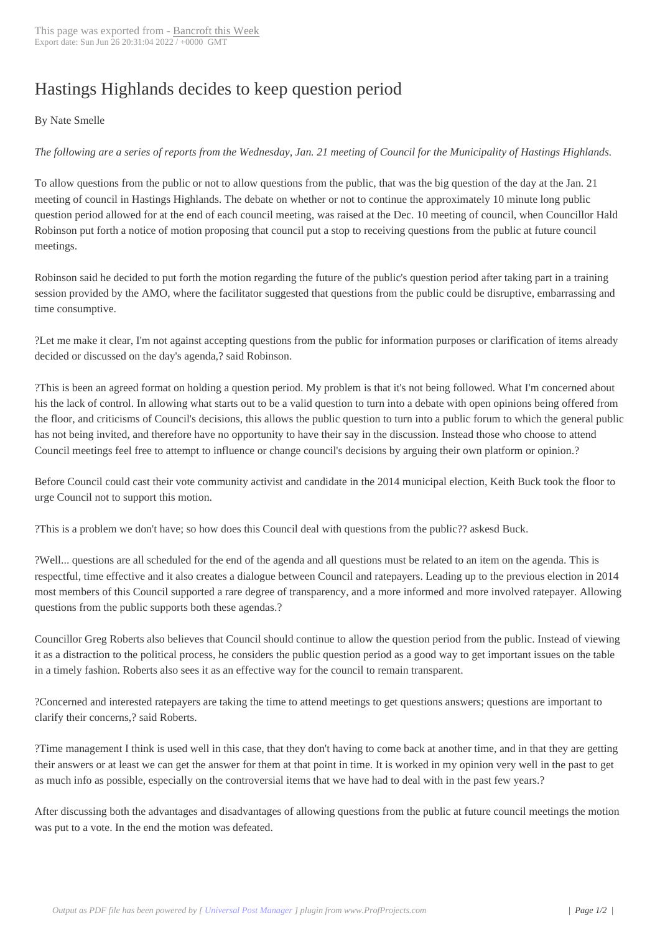## Hastings Highland[s decides to k](http://www.bancroftthisweek.com/?p=4190)eep question period

 By Nate Smelle

*The following are a series of reports from the Wednesday, Jan. 21 meeting of Council for the Municipality of Hastings Highlands.*

To allow questions from the public or not to allow questions from the public, that was the big question of the day at the Jan. 21 meeting of council in Hastings Highlands. The debate on whether or not to continue the approximately 10 minute long public question period allowed for at the end of each council meeting, was raised at the Dec. 10 meeting of council, when Councillor Hald Robinson put forth a notice of motion proposing that council put a stop to receiving questions from the public at future council meetings.

Robinson said he decided to put forth the motion regarding the future of the public's question period after taking part in a training session provided by the AMO, where the facilitator suggested that questions from the public could be disruptive, embarrassing and time consumptive.

?Let me make it clear, I'm not against accepting questions from the public for information purposes or clarification of items already decided or discussed on the day's agenda,? said Robinson.

?This is been an agreed format on holding a question period. My problem is that it's not being followed. What I'm concerned about his the lack of control. In allowing what starts out to be a valid question to turn into a debate with open opinions being offered from the floor, and criticisms of Council's decisions, this allows the public question to turn into a public forum to which the general public has not being invited, and therefore have no opportunity to have their say in the discussion. Instead those who choose to attend Council meetings feel free to attempt to influence or change council's decisions by arguing their own platform or opinion.?

Before Council could cast their vote community activist and candidate in the 2014 municipal election, Keith Buck took the floor to urge Council not to support this motion.

?This is a problem we don't have; so how does this Council deal with questions from the public?? askesd Buck.

?Well... questions are all scheduled for the end of the agenda and all questions must be related to an item on the agenda. This is respectful, time effective and it also creates a dialogue between Council and ratepayers. Leading up to the previous election in 2014 most members of this Council supported a rare degree of transparency, and a more informed and more involved ratepayer. Allowing questions from the public supports both these agendas.?

Councillor Greg Roberts also believes that Council should continue to allow the question period from the public. Instead of viewing it as a distraction to the political process, he considers the public question period as a good way to get important issues on the table in a timely fashion. Roberts also sees it as an effective way for the council to remain transparent.

?Concerned and interested ratepayers are taking the time to attend meetings to get questions answers; questions are important to clarify their concerns,? said Roberts.

?Time management I think is used well in this case, that they don't having to come back at another time, and in that they are getting their answers or at least we can get the answer for them at that point in time. It is worked in my opinion very well in the past to get as much info as possible, especially on the controversial items that we have had to deal with in the past few years.?

After discussing both the advantages and disadvantages of allowing questions from the public at future council meetings the motion was put to a vote. In the end the motion was defeated.